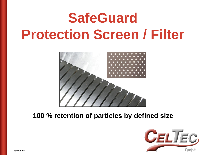# **SafeGuard Protection Screen / Filter**



## **100 % retention of particles by defined size**

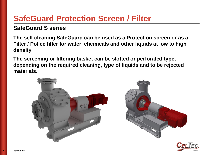# **SafeGuard Protection Screen / Filter**

### **SafeGuard S series**

**The self cleaning SafeGuard can be used as a Protection screen or as a Filter / Police filter for water, chemicals and other liquids at low to high density.**

**The screening or filtering basket can be slotted or perforated type, depending on the required cleaning, type of liquids and to be rejected materials.**



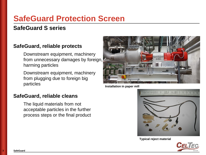# **SafeGuard Protection Screen**

### **SafeGuard S series**

#### **SafeGuard, reliable protects**

Downstream equipment, machinery from unnecessary damages by foreign, harming particles

Downstream equipment, machinery from plugging due to foreign big particles

#### **SafeGuard, reliable cleans**

The liquid materials from not acceptable particles in the further process steps or the final product



**Installation in paper mill**



**Typical reject material**

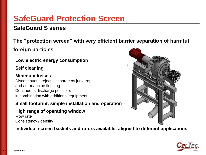# **SafeGuard Protection Screen**

### **SafeGuard S series**

**The "protection screen" with very efficient barrier separation of harmful**

**foreign particles**

**Low electric energy consumption**

**Self cleaning**

#### **Minimum losses**

Discontinuous reject discharge by junk trap and / or machine flushing Continuous discharge possible, in combination with additional equipment**.**

**Small footprint, simple installation and operation**

#### **High range of operating window**

Flow rate Consistency / density

**Individual screen baskets and rotors available, aligned to different applications**